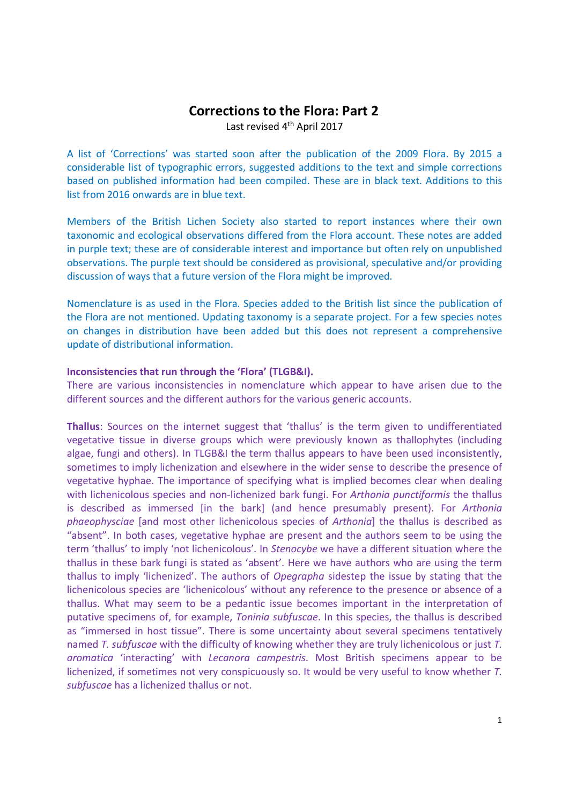# Corrections to the Flora: Part 2

Last revised 4<sup>th</sup> April 2017

A list of 'Corrections' was started soon after the publication of the 2009 Flora. By 2015 a considerable list of typographic errors, suggested additions to the text and simple corrections based on published information had been compiled. These are in black text. Additions to this list from 2016 onwards are in blue text.

Members of the British Lichen Society also started to report instances where their own taxonomic and ecological observations differed from the Flora account. These notes are added in purple text; these are of considerable interest and importance but often rely on unpublished observations. The purple text should be considered as provisional, speculative and/or providing discussion of ways that a future version of the Flora might be improved.

Nomenclature is as used in the Flora. Species added to the British list since the publication of the Flora are not mentioned. Updating taxonomy is a separate project. For a few species notes on changes in distribution have been added but this does not represent a comprehensive update of distributional information.

#### Inconsistencies that run through the 'Flora' (TLGB&I).

There are various inconsistencies in nomenclature which appear to have arisen due to the different sources and the different authors for the various generic accounts.

Thallus: Sources on the internet suggest that 'thallus' is the term given to undifferentiated vegetative tissue in diverse groups which were previously known as thallophytes (including algae, fungi and others). In TLGB&I the term thallus appears to have been used inconsistently, sometimes to imply lichenization and elsewhere in the wider sense to describe the presence of vegetative hyphae. The importance of specifying what is implied becomes clear when dealing with lichenicolous species and non-lichenized bark fungi. For Arthonia punctiformis the thallus is described as immersed [in the bark] (and hence presumably present). For Arthonia phaeophysciae [and most other lichenicolous species of Arthonia] the thallus is described as "absent". In both cases, vegetative hyphae are present and the authors seem to be using the term 'thallus' to imply 'not lichenicolous'. In Stenocybe we have a different situation where the thallus in these bark fungi is stated as 'absent'. Here we have authors who are using the term thallus to imply 'lichenized'. The authors of Opegrapha sidestep the issue by stating that the lichenicolous species are 'lichenicolous' without any reference to the presence or absence of a thallus. What may seem to be a pedantic issue becomes important in the interpretation of putative specimens of, for example, Toninia subfuscae. In this species, the thallus is described as "immersed in host tissue". There is some uncertainty about several specimens tentatively named T. subfuscae with the difficulty of knowing whether they are truly lichenicolous or just T. aromatica 'interacting' with Lecanora campestris. Most British specimens appear to be lichenized, if sometimes not very conspicuously so. It would be very useful to know whether T. subfuscae has a lichenized thallus or not.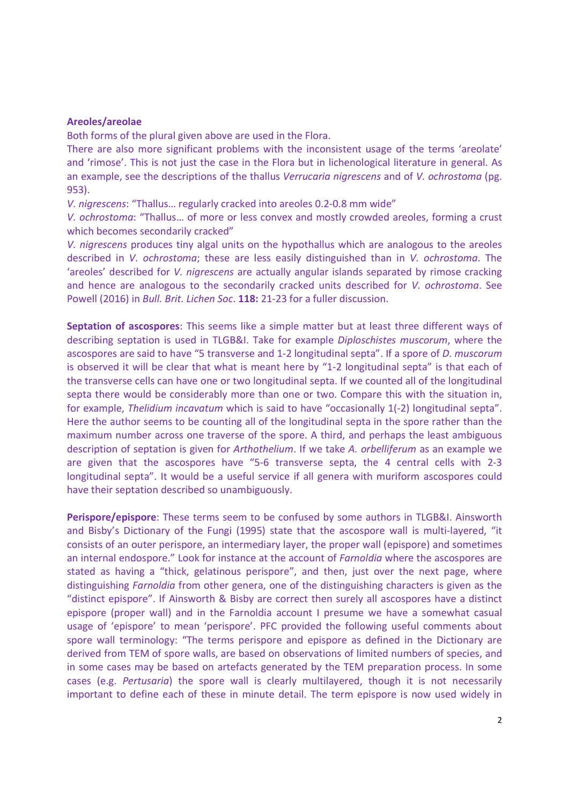#### Areoles/areolae

Both forms of the plural given above are used in the Flora.

There are also more significant problems with the inconsistent usage of the terms 'areolate' and 'rimose'. This is not just the case in the Flora but in lichenological literature in general. As an example, see the descriptions of the thallus Verrucaria nigrescens and of V. ochrostoma (pg. 953).

V. nigrescens: "Thallus… regularly cracked into areoles 0.2-0.8 mm wide"

V. ochrostoma: "Thallus… of more or less convex and mostly crowded areoles, forming a crust which becomes secondarily cracked"

V. nigrescens produces tiny algal units on the hypothallus which are analogous to the areoles described in *V. ochrostoma*; these are less easily distinguished than in *V. ochrostoma*. The 'areoles' described for V. nigrescens are actually angular islands separated by rimose cracking and hence are analogous to the secondarily cracked units described for *V. ochrostoma*. See Powell (2016) in Bull. Brit. Lichen Soc. 118: 21-23 for a fuller discussion.

Septation of ascospores: This seems like a simple matter but at least three different ways of describing septation is used in TLGB&I. Take for example Diploschistes muscorum, where the ascospores are said to have "5 transverse and 1-2 longitudinal septa". If a spore of D. muscorum is observed it will be clear that what is meant here by "1-2 longitudinal septa" is that each of the transverse cells can have one or two longitudinal septa. If we counted all of the longitudinal septa there would be considerably more than one or two. Compare this with the situation in, for example, Thelidium incavatum which is said to have "occasionally 1(-2) longitudinal septa". Here the author seems to be counting all of the longitudinal septa in the spore rather than the maximum number across one traverse of the spore. A third, and perhaps the least ambiguous description of septation is given for Arthothelium. If we take A. orbelliferum as an example we are given that the ascospores have "5-6 transverse septa, the 4 central cells with 2-3 longitudinal septa". It would be a useful service if all genera with muriform ascospores could have their septation described so unambiguously.

Perispore/epispore: These terms seem to be confused by some authors in TLGB&I. Ainsworth and Bisby's Dictionary of the Fungi (1995) state that the ascospore wall is multi-layered, "it consists of an outer perispore, an intermediary layer, the proper wall (epispore) and sometimes an internal endospore." Look for instance at the account of Farnoldia where the ascospores are stated as having a "thick, gelatinous perispore", and then, just over the next page, where distinguishing Farnoldia from other genera, one of the distinguishing characters is given as the "distinct epispore". If Ainsworth & Bisby are correct then surely all ascospores have a distinct epispore (proper wall) and in the Farnoldia account I presume we have a somewhat casual usage of 'epispore' to mean 'perispore'. PFC provided the following useful comments about spore wall terminology: "The terms perispore and epispore as defined in the Dictionary are derived from TEM of spore walls, are based on observations of limited numbers of species, and in some cases may be based on artefacts generated by the TEM preparation process. In some cases (e.g. *Pertusaria*) the spore wall is clearly multilayered, though it is not necessarily important to define each of these in minute detail. The term epispore is now used widely in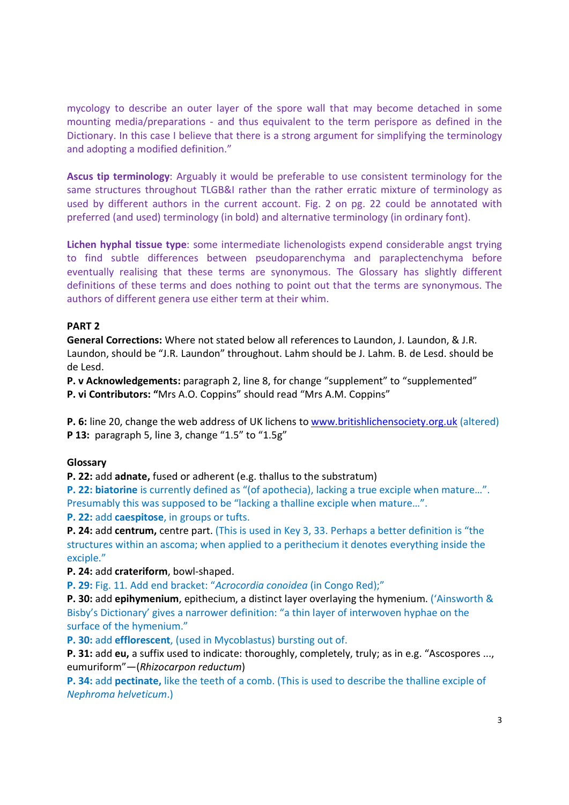mycology to describe an outer layer of the spore wall that may become detached in some mounting media/preparations - and thus equivalent to the term perispore as defined in the Dictionary. In this case I believe that there is a strong argument for simplifying the terminology and adopting a modified definition."

Ascus tip terminology: Arguably it would be preferable to use consistent terminology for the same structures throughout TLGB&I rather than the rather erratic mixture of terminology as used by different authors in the current account. Fig. 2 on pg. 22 could be annotated with preferred (and used) terminology (in bold) and alternative terminology (in ordinary font).

Lichen hyphal tissue type: some intermediate lichenologists expend considerable angst trying to find subtle differences between pseudoparenchyma and paraplectenchyma before eventually realising that these terms are synonymous. The Glossary has slightly different definitions of these terms and does nothing to point out that the terms are synonymous. The authors of different genera use either term at their whim.

# PART 2

General Corrections: Where not stated below all references to Laundon, J. Laundon, & J.R. Laundon, should be "J.R. Laundon" throughout. Lahm should be J. Lahm. B. de Lesd. should be de Lesd.

P. v Acknowledgements: paragraph 2, line 8, for change "supplement" to "supplemented" P. vi Contributors: "Mrs A.O. Coppins" should read "Mrs A.M. Coppins"

P. 6: line 20, change the web address of UK lichens to www.britishlichensociety.org.uk (altered) P 13: paragraph 5, line 3, change "1.5" to "1.5g"

# Glossary

P. 22: add adnate, fused or adherent (e.g. thallus to the substratum)

P. 22: biatorine is currently defined as "(of apothecia), lacking a true exciple when mature...". Presumably this was supposed to be "lacking a thalline exciple when mature…".

P. 22: add caespitose, in groups or tufts.

P. 24: add centrum, centre part. (This is used in Key 3, 33. Perhaps a better definition is "the structures within an ascoma; when applied to a perithecium it denotes everything inside the exciple."

P. 24: add crateriform, bowl-shaped.

P. 29: Fig. 11. Add end bracket: "Acrocordia conoidea (in Congo Red);"

P. 30: add epihymenium, epithecium, a distinct layer overlaying the hymenium. ('Ainsworth & Bisby's Dictionary' gives a narrower definition: "a thin layer of interwoven hyphae on the surface of the hymenium."

P. 30: add efflorescent, (used in Mycoblastus) bursting out of.

P. 31: add eu, a suffix used to indicate: thoroughly, completely, truly; as in e.g. "Ascospores ..., eumuriform"—(Rhizocarpon reductum)

P. 34: add pectinate, like the teeth of a comb. (This is used to describe the thalline exciple of Nephroma helveticum.)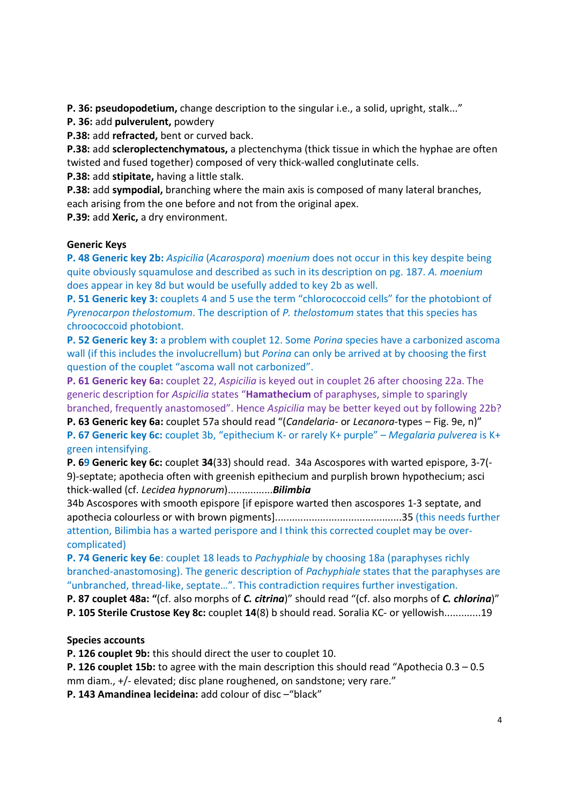P. 36: pseudopodetium, change description to the singular i.e., a solid, upright, stalk..."

P. 36: add pulverulent, powdery

P.38: add refracted, bent or curved back.

**P.38:** add scleroplectenchymatous, a plectenchyma (thick tissue in which the hyphae are often twisted and fused together) composed of very thick-walled conglutinate cells.

P.38: add stipitate, having a little stalk.

P.38: add sympodial, branching where the main axis is composed of many lateral branches, each arising from the one before and not from the original apex.

P.39: add Xeric, a dry environment.

# Generic Keys

P. 48 Generic key 2b: Aspicilia (Acarospora) moenium does not occur in this key despite being quite obviously squamulose and described as such in its description on pg. 187. A. moenium does appear in key 8d but would be usefully added to key 2b as well.

P. 51 Generic key 3: couplets 4 and 5 use the term "chlorococcoid cells" for the photobiont of Pyrenocarpon thelostomum. The description of P. thelostomum states that this species has chroococcoid photobiont.

P. 52 Generic key 3: a problem with couplet 12. Some Porina species have a carbonized ascoma wall (if this includes the involucrellum) but *Poring* can only be arrived at by choosing the first question of the couplet "ascoma wall not carbonized".

P. 61 Generic key 6a: couplet 22, Aspicilia is keyed out in couplet 26 after choosing 22a. The generic description for Aspicilia states "Hamathecium of paraphyses, simple to sparingly branched, frequently anastomosed". Hence Aspicilia may be better keyed out by following 22b?

P. 63 Generic key 6a: couplet 57a should read "(Candelaria- or Lecanora-types - Fig. 9e, n)" P. 67 Generic key 6c: couplet 3b, "epithecium K- or rarely K+ purple" – Megalaria pulverea is K+ green intensifying.

P. 69 Generic key 6c: couplet 34(33) should read. 34a Ascospores with warted epispore, 3-7(- 9)-septate; apothecia often with greenish epithecium and purplish brown hypothecium; asci thick-walled (cf. Lecidea hypnorum).................Bilimbia

34b Ascospores with smooth epispore [if epispore warted then ascospores 1-3 septate, and apothecia colourless or with brown pigments].............................................35 (this needs further attention, Bilimbia has a warted perispore and I think this corrected couplet may be overcomplicated)

P. 74 Generic key 6e: couplet 18 leads to Pachyphiale by choosing 18a (paraphyses richly branched-anastomosing). The generic description of Pachyphiale states that the paraphyses are "unbranched, thread-like, septate…". This contradiction requires further investigation.

P. 87 couplet 48a: "(cf. also morphs of C. citrina)" should read "(cf. also morphs of C. chlorina)"

P. 105 Sterile Crustose Key 8c: couplet 14(8) b should read. Soralia KC- or yellowish.............19

# Species accounts

P. 126 couplet 9b: this should direct the user to couplet 10.

P. 126 couplet 15b: to agree with the main description this should read "Apothecia 0.3 – 0.5 mm diam., +/- elevated; disc plane roughened, on sandstone; very rare."

P. 143 Amandinea lecideina: add colour of disc –"black"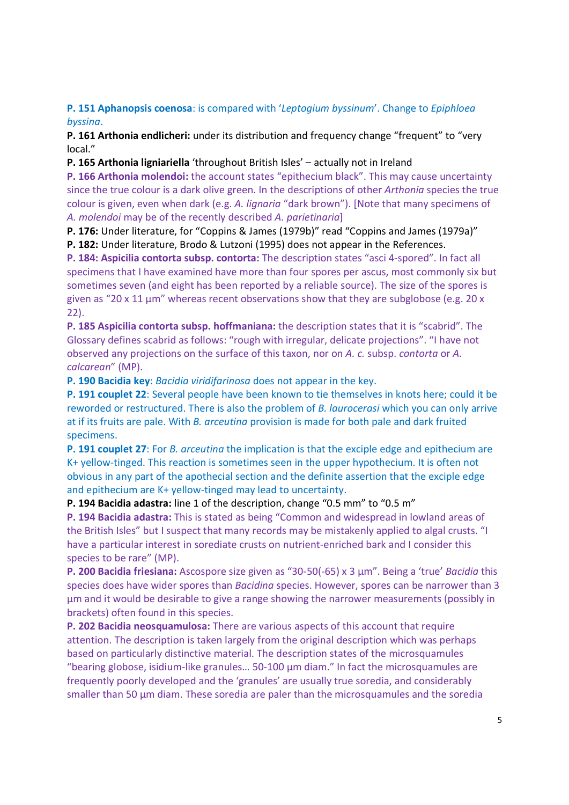P. 151 Aphanopsis coenosa: is compared with 'Leptogium byssinum'. Change to Epiphloea byssina.

P. 161 Arthonia endlicheri: under its distribution and frequency change "frequent" to "very local."

P. 165 Arthonia ligniariella 'throughout British Isles' – actually not in Ireland

P. 166 Arthonia molendoi: the account states "epithecium black". This may cause uncertainty since the true colour is a dark olive green. In the descriptions of other Arthonia species the true colour is given, even when dark (e.g. A. lignaria "dark brown"). [Note that many specimens of A. molendoi may be of the recently described A. parietinaria]

P. 176: Under literature, for "Coppins & James (1979b)" read "Coppins and James (1979a)"

P. 182: Under literature, Brodo & Lutzoni (1995) does not appear in the References.

P. 184: Aspicilia contorta subsp. contorta: The description states "asci 4-spored". In fact all specimens that I have examined have more than four spores per ascus, most commonly six but sometimes seven (and eight has been reported by a reliable source). The size of the spores is given as "20 x 11  $\mu$ m" whereas recent observations show that they are subglobose (e.g. 20 x 22).

P. 185 Aspicilia contorta subsp. hoffmaniana: the description states that it is "scabrid". The Glossary defines scabrid as follows: "rough with irregular, delicate projections". "I have not observed any projections on the surface of this taxon, nor on A, c. subsp. contorta or A. calcarean" (MP).

P. 190 Bacidia key: Bacidia viridifarinosa does not appear in the key.

P. 191 couplet 22: Several people have been known to tie themselves in knots here; could it be reworded or restructured. There is also the problem of B. laurocerasi which you can only arrive at if its fruits are pale. With B. arceutina provision is made for both pale and dark fruited specimens.

P. 191 couplet 27: For B. arceutina the implication is that the exciple edge and epithecium are K+ yellow-tinged. This reaction is sometimes seen in the upper hypothecium. It is often not obvious in any part of the apothecial section and the definite assertion that the exciple edge and epithecium are K+ yellow-tinged may lead to uncertainty.

P. 194 Bacidia adastra: line 1 of the description, change "0.5 mm" to "0.5 m"

P. 194 Bacidia adastra: This is stated as being "Common and widespread in lowland areas of the British Isles" but I suspect that many records may be mistakenly applied to algal crusts. "I have a particular interest in sorediate crusts on nutrient-enriched bark and I consider this species to be rare" (MP).

P. 200 Bacidia friesiana: Ascospore size given as "30-50(-65) x 3 µm". Being a 'true' Bacidia this species does have wider spores than Bacidina species. However, spores can be narrower than 3 µm and it would be desirable to give a range showing the narrower measurements (possibly in brackets) often found in this species.

P. 202 Bacidia neosquamulosa: There are various aspects of this account that require attention. The description is taken largely from the original description which was perhaps based on particularly distinctive material. The description states of the microsquamules "bearing globose, isidium-like granules… 50-100 µm diam." In fact the microsquamules are frequently poorly developed and the 'granules' are usually true soredia, and considerably smaller than 50 µm diam. These soredia are paler than the microsquamules and the soredia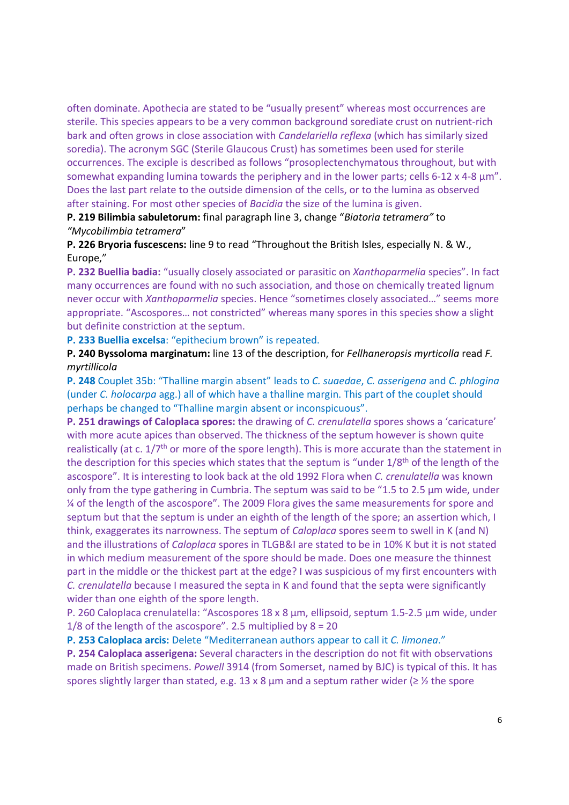often dominate. Apothecia are stated to be "usually present" whereas most occurrences are sterile. This species appears to be a very common background sorediate crust on nutrient-rich bark and often grows in close association with Candelariella reflexa (which has similarly sized soredia). The acronym SGC (Sterile Glaucous Crust) has sometimes been used for sterile occurrences. The exciple is described as follows "prosoplectenchymatous throughout, but with somewhat expanding lumina towards the periphery and in the lower parts; cells 6-12 x 4-8 µm". Does the last part relate to the outside dimension of the cells, or to the lumina as observed after staining. For most other species of Bacidia the size of the lumina is given.

P. 219 Bilimbia sabuletorum: final paragraph line 3, change "Biatoria tetramera" to "Mycobilimbia tetramera"

P. 226 Bryoria fuscescens: line 9 to read "Throughout the British Isles, especially N. & W., Europe,"

P. 232 Buellia badia: "usually closely associated or parasitic on Xanthoparmelia species". In fact many occurrences are found with no such association, and those on chemically treated lignum never occur with Xanthoparmelia species. Hence "sometimes closely associated…" seems more appropriate. "Ascospores… not constricted" whereas many spores in this species show a slight but definite constriction at the septum.

P. 233 Buellia excelsa: "epithecium brown" is repeated.

P. 240 Byssoloma marginatum: line 13 of the description, for Fellhaneropsis myrticolla read F. myrtillicola

P. 248 Couplet 35b: "Thalline margin absent" leads to C. suaedae, C. asserigena and C. phlogina (under C. holocarpa agg.) all of which have a thalline margin. This part of the couplet should perhaps be changed to "Thalline margin absent or inconspicuous".

P. 251 drawings of Caloplaca spores: the drawing of C. crenulatella spores shows a 'caricature' with more acute apices than observed. The thickness of the septum however is shown quite realistically (at c.  $1/7$ <sup>th</sup> or more of the spore length). This is more accurate than the statement in the description for this species which states that the septum is "under  $1/8<sup>th</sup>$  of the length of the ascospore". It is interesting to look back at the old 1992 Flora when C. crenulatella was known only from the type gathering in Cumbria. The septum was said to be "1.5 to 2.5 µm wide, under ¼ of the length of the ascospore". The 2009 Flora gives the same measurements for spore and septum but that the septum is under an eighth of the length of the spore; an assertion which, I think, exaggerates its narrowness. The septum of Caloplaca spores seem to swell in K (and N) and the illustrations of Caloplaca spores in TLGB&I are stated to be in 10% K but it is not stated in which medium measurement of the spore should be made. Does one measure the thinnest part in the middle or the thickest part at the edge? I was suspicious of my first encounters with C. crenulatella because I measured the septa in K and found that the septa were significantly wider than one eighth of the spore length.

P. 260 Caloplaca crenulatella: "Ascospores 18 x 8 µm, ellipsoid, septum 1.5-2.5 µm wide, under 1/8 of the length of the ascospore". 2.5 multiplied by 8 = 20

P. 253 Caloplaca arcis: Delete "Mediterranean authors appear to call it C. limonea."

P. 254 Caloplaca asserigena: Several characters in the description do not fit with observations made on British specimens. Powell 3914 (from Somerset, named by BJC) is typical of this. It has spores slightly larger than stated, e.g. 13 x 8  $\mu$ m and a septum rather wider ( $\geq$  % the spore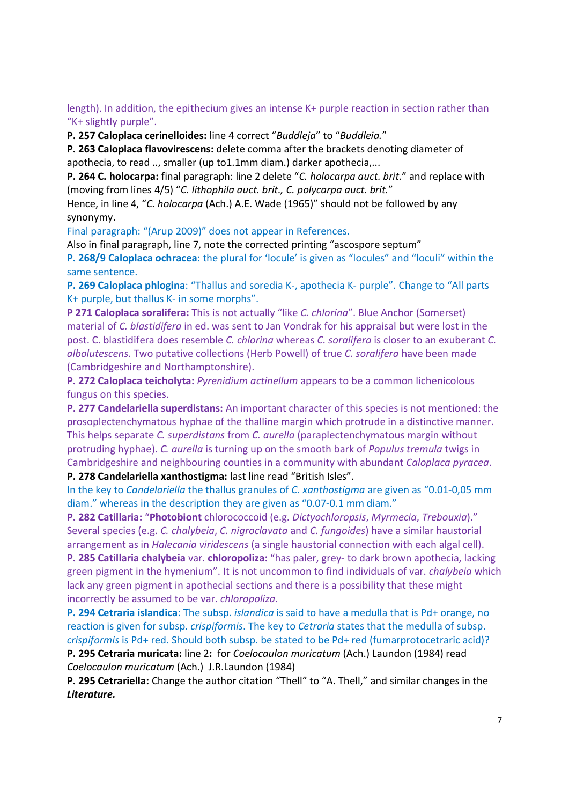length). In addition, the epithecium gives an intense K+ purple reaction in section rather than "K+ slightly purple".

P. 257 Caloplaca cerinelloides: line 4 correct "Buddleja" to "Buddleia."

P. 263 Caloplaca flavovirescens: delete comma after the brackets denoting diameter of apothecia, to read .., smaller (up to1.1mm diam.) darker apothecia,...

P. 264 C. holocarpa: final paragraph: line 2 delete "C. holocarpa auct. brit." and replace with (moving from lines 4/5) "C. lithophila auct. brit., C. polycarpa auct. brit."

Hence, in line 4, "C. holocarpa (Ach.) A.E. Wade (1965)" should not be followed by any synonymy.

Final paragraph: "(Arup 2009)" does not appear in References.

Also in final paragraph, line 7, note the corrected printing "ascospore septum"

P. 268/9 Caloplaca ochracea: the plural for 'locule' is given as "locules" and "loculi" within the same sentence.

P. 269 Caloplaca phlogina: "Thallus and soredia K-, apothecia K- purple". Change to "All parts K+ purple, but thallus K- in some morphs".

P 271 Caloplaca soralifera: This is not actually "like C. chlorina". Blue Anchor (Somerset) material of C. blastidifera in ed. was sent to Jan Vondrak for his appraisal but were lost in the post. C. blastidifera does resemble C. chlorina whereas C. soralifera is closer to an exuberant C. albolutescens. Two putative collections (Herb Powell) of true C. soralifera have been made (Cambridgeshire and Northamptonshire).

P. 272 Caloplaca teicholyta: Pyrenidium actinellum appears to be a common lichenicolous fungus on this species.

P. 277 Candelariella superdistans: An important character of this species is not mentioned: the prosoplectenchymatous hyphae of the thalline margin which protrude in a distinctive manner. This helps separate C. superdistans from C. aurella (paraplectenchymatous margin without protruding hyphae). C. aurella is turning up on the smooth bark of Populus tremula twigs in Cambridgeshire and neighbouring counties in a community with abundant Caloplaca pyracea.

P. 278 Candelariella xanthostigma: last line read "British Isles".

In the key to Candelariella the thallus granules of C. xanthostigma are given as "0.01-0,05 mm diam." whereas in the description they are given as "0.07-0.1 mm diam."

P. 282 Catillaria: "Photobiont chlorococcoid (e.g. Dictyochloropsis, Myrmecia, Trebouxia)." Several species (e.g. C. chalybeia, C. nigroclavata and C. fungoides) have a similar haustorial arrangement as in Halecania viridescens (a single haustorial connection with each algal cell).

P. 285 Catillaria chalybeia var. chloropoliza: "has paler, grey- to dark brown apothecia, lacking green pigment in the hymenium". It is not uncommon to find individuals of var. chalybeia which lack any green pigment in apothecial sections and there is a possibility that these might incorrectly be assumed to be var. chloropoliza.

P. 294 Cetraria islandica: The subsp. *islandica* is said to have a medulla that is Pd+ orange, no reaction is given for subsp. crispiformis. The key to Cetraria states that the medulla of subsp. crispiformis is Pd+ red. Should both subsp. be stated to be Pd+ red (fumarprotocetraric acid)?

P. 295 Cetraria muricata: line 2: for Coelocaulon muricatum (Ach.) Laundon (1984) read Coelocaulon muricatum (Ach.) J.R.Laundon (1984)

P. 295 Cetrariella: Change the author citation "Thell" to "A. Thell," and similar changes in the Literature.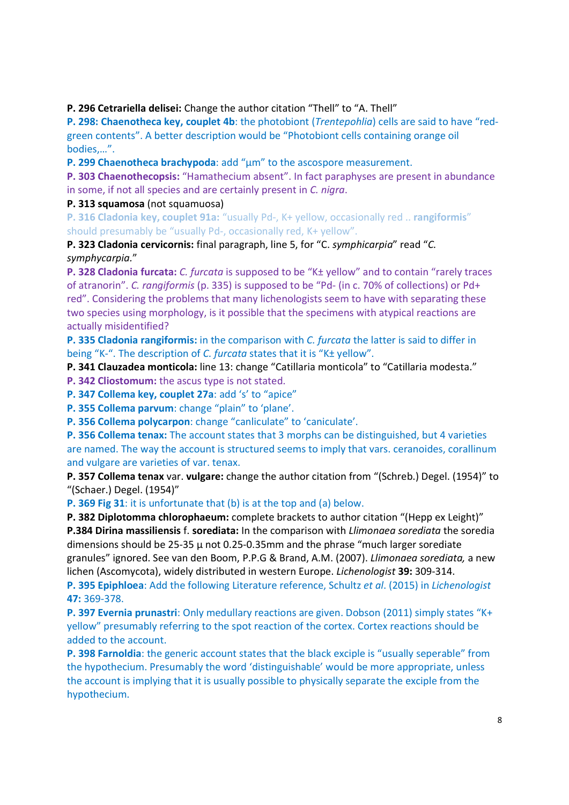P. 296 Cetrariella delisei: Change the author citation "Thell" to "A. Thell"

P. 298: Chaenotheca key, couplet 4b: the photobiont (Trentepohlia) cells are said to have "redgreen contents". A better description would be "Photobiont cells containing orange oil bodies,…".

P. 299 Chaenotheca brachypoda: add "µm" to the ascospore measurement.

P. 303 Chaenothecopsis: "Hamathecium absent". In fact paraphyses are present in abundance in some, if not all species and are certainly present in C. nigra.

P. 313 squamosa (not squamuosa)

P. 316 Cladonia key, couplet 91a: "usually Pd-, K+ yellow, occasionally red .. rangiformis" should presumably be "usually Pd-, occasionally red, K+ yellow".

P. 323 Cladonia cervicornis: final paragraph, line 5, for "C. symphicarpia" read "C. symphycarpia."

P. 328 Cladonia furcata: C. furcata is supposed to be "K± yellow" and to contain "rarely traces of atranorin". C. rangiformis (p. 335) is supposed to be "Pd- (in c. 70% of collections) or Pd+ red". Considering the problems that many lichenologists seem to have with separating these two species using morphology, is it possible that the specimens with atypical reactions are actually misidentified?

P. 335 Cladonia rangiformis: in the comparison with C. furcata the latter is said to differ in being "K-". The description of C. furcata states that it is "K± yellow".

P. 341 Clauzadea monticola: line 13: change "Catillaria monticola" to "Catillaria modesta."

P. 342 Cliostomum: the ascus type is not stated.

P. 347 Collema key, couplet 27a: add 's' to "apice"

P. 355 Collema parvum: change "plain" to 'plane'.

P. 356 Collema polycarpon: change "canliculate" to 'caniculate'.

P. 356 Collema tenax: The account states that 3 morphs can be distinguished, but 4 varieties are named. The way the account is structured seems to imply that vars. ceranoides, corallinum and vulgare are varieties of var. tenax.

P. 357 Collema tenax var. vulgare: change the author citation from "(Schreb.) Degel. (1954)" to "(Schaer.) Degel. (1954)"

P. 369 Fig 31: it is unfortunate that (b) is at the top and (a) below.

P. 382 Diplotomma chlorophaeum: complete brackets to author citation "(Hepp ex Leight)" P.384 Dirina massiliensis f. sorediata: In the comparison with Llimonaea sorediata the soredia dimensions should be 25-35  $\mu$  not 0.25-0.35mm and the phrase "much larger sorediate granules" ignored. See van den Boom, P.P.G & Brand, A.M. (2007). Llimonaea sorediata, a new lichen (Ascomycota), widely distributed in western Europe. Lichenologist 39: 309-314.

P. 395 Epiphloea: Add the following Literature reference, Schultz et al. (2015) in Lichenologist 47: 369-378.

P. 397 Evernia prunastri: Only medullary reactions are given. Dobson (2011) simply states "K+ yellow" presumably referring to the spot reaction of the cortex. Cortex reactions should be added to the account.

P. 398 Farnoldia: the generic account states that the black exciple is "usually seperable" from the hypothecium. Presumably the word 'distinguishable' would be more appropriate, unless the account is implying that it is usually possible to physically separate the exciple from the hypothecium.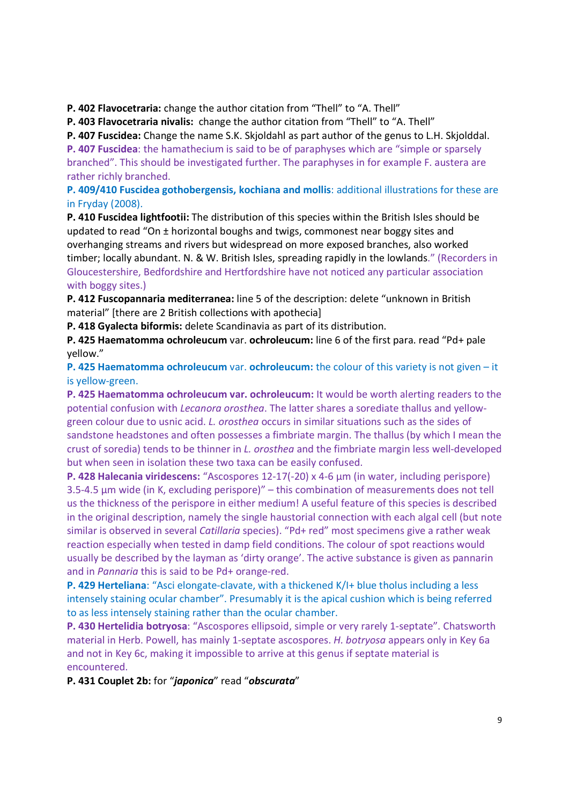P. 402 Flavocetraria: change the author citation from "Thell" to "A. Thell"

P. 403 Flavocetraria nivalis: change the author citation from "Thell" to "A. Thell"

P. 407 Fuscidea: Change the name S.K. Skjoldahl as part author of the genus to L.H. Skjolddal.

P. 407 Fuscidea: the hamathecium is said to be of paraphyses which are "simple or sparsely branched". This should be investigated further. The paraphyses in for example F. austera are rather richly branched.

P. 409/410 Fuscidea gothobergensis, kochiana and mollis: additional illustrations for these are in Fryday (2008).

P. 410 Fuscidea lightfootii: The distribution of this species within the British Isles should be updated to read "On ± horizontal boughs and twigs, commonest near boggy sites and overhanging streams and rivers but widespread on more exposed branches, also worked timber; locally abundant. N. & W. British Isles, spreading rapidly in the lowlands." (Recorders in Gloucestershire, Bedfordshire and Hertfordshire have not noticed any particular association with boggy sites.)

P. 412 Fuscopannaria mediterranea: line 5 of the description: delete "unknown in British material" [there are 2 British collections with apothecia]

P. 418 Gyalecta biformis: delete Scandinavia as part of its distribution.

P. 425 Haematomma ochroleucum var. ochroleucum: line 6 of the first para. read "Pd+ pale yellow."

P. 425 Haematomma ochroleucum var. ochroleucum: the colour of this variety is not given – it is yellow-green.

P. 425 Haematomma ochroleucum var. ochroleucum: It would be worth alerting readers to the potential confusion with Lecanora orosthea. The latter shares a sorediate thallus and yellowgreen colour due to usnic acid. L. orosthea occurs in similar situations such as the sides of sandstone headstones and often possesses a fimbriate margin. The thallus (by which I mean the crust of soredia) tends to be thinner in L. orosthea and the fimbriate margin less well-developed but when seen in isolation these two taxa can be easily confused.

P. 428 Halecania viridescens: "Ascospores 12-17(-20) x 4-6 µm (in water, including perispore) 3.5-4.5 µm wide (in K, excluding perispore)" – this combination of measurements does not tell us the thickness of the perispore in either medium! A useful feature of this species is described in the original description, namely the single haustorial connection with each algal cell (but note similar is observed in several Catillaria species). "Pd+ red" most specimens give a rather weak reaction especially when tested in damp field conditions. The colour of spot reactions would usually be described by the layman as 'dirty orange'. The active substance is given as pannarin and in Pannaria this is said to be Pd+ orange-red.

P. 429 Herteliana: "Asci elongate-clavate, with a thickened K/I+ blue tholus including a less intensely staining ocular chamber". Presumably it is the apical cushion which is being referred to as less intensely staining rather than the ocular chamber.

P. 430 Hertelidia botryosa: "Ascospores ellipsoid, simple or very rarely 1-septate". Chatsworth material in Herb. Powell, has mainly 1-septate ascospores. H. botryosa appears only in Key 6a and not in Key 6c, making it impossible to arrive at this genus if septate material is encountered.

P. 431 Couplet 2b: for "japonica" read "obscurata"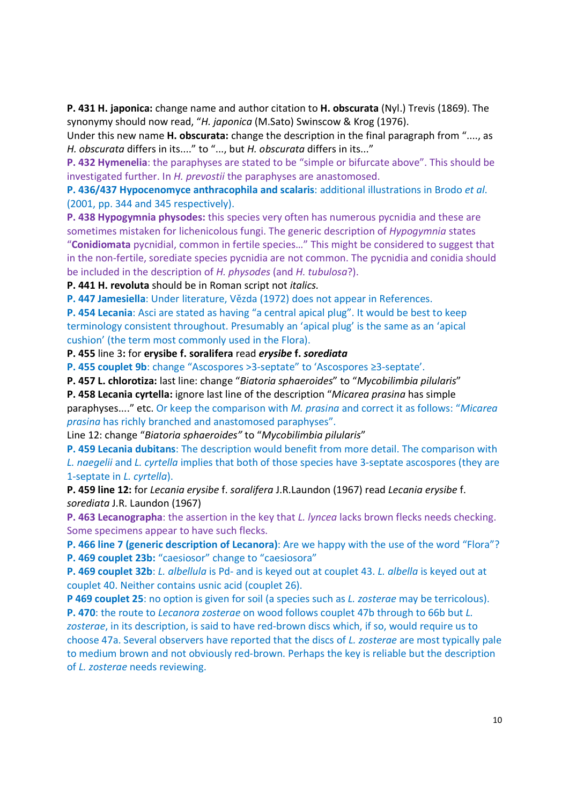P. 431 H. japonica: change name and author citation to H. obscurata (Nyl.) Trevis (1869). The synonymy should now read, "H. japonica (M.Sato) Swinscow & Krog (1976).

Under this new name H. obscurata: change the description in the final paragraph from "...., as H. obscurata differs in its...." to "..., but H. obscurata differs in its..."

P. 432 Hymenelia: the paraphyses are stated to be "simple or bifurcate above". This should be investigated further. In H. prevostii the paraphyses are anastomosed.

P. 436/437 Hypocenomyce anthracophila and scalaris: additional illustrations in Brodo et al. (2001, pp. 344 and 345 respectively).

P. 438 Hypogymnia physodes: this species very often has numerous pycnidia and these are sometimes mistaken for lichenicolous fungi. The generic description of *Hypogymnia* states "Conidiomata pycnidial, common in fertile species…" This might be considered to suggest that in the non-fertile, sorediate species pycnidia are not common. The pycnidia and conidia should be included in the description of H. physodes (and H. tubulosa?).

P. 441 H. revoluta should be in Roman script not italics.

P. 447 Jamesiella: Under literature, Vězda (1972) does not appear in References.

P. 454 Lecania: Asci are stated as having "a central apical plug". It would be best to keep terminology consistent throughout. Presumably an 'apical plug' is the same as an 'apical cushion' (the term most commonly used in the Flora).

P. 455 line 3: for erysibe f. soralifera read erysibe f. sorediata

P. 455 couplet 9b: change "Ascospores >3-septate" to 'Ascospores ≥3-septate'.

P. 457 L. chlorotiza: last line: change "Biatoria sphaeroides" to "Mycobilimbia pilularis"

P. 458 Lecania cyrtella: ignore last line of the description "Micarea prasina has simple

paraphyses...." etc. Or keep the comparison with M. prasina and correct it as follows: "Micarea prasina has richly branched and anastomosed paraphyses".

Line 12: change "Biatoria sphaeroides" to "Mycobilimbia pilularis"

P. 459 Lecania dubitans: The description would benefit from more detail. The comparison with L. naegelii and L. cyrtella implies that both of those species have 3-septate ascospores (they are 1-septate in L. cyrtella).

P. 459 line 12: for Lecania erysibe f. soralifera J.R.Laundon (1967) read Lecania erysibe f. sorediata J.R. Laundon (1967)

P. 463 Lecanographa: the assertion in the key that L. lyncea lacks brown flecks needs checking. Some specimens appear to have such flecks.

P. 466 line 7 (generic description of Lecanora): Are we happy with the use of the word "Flora"? P. 469 couplet 23b: "caesiosor" change to "caesiosora"

P. 469 couplet 32b: L. albellula is Pd- and is keyed out at couplet 43. L. albella is keyed out at couplet 40. Neither contains usnic acid (couplet 26).

P 469 couplet 25: no option is given for soil (a species such as L. zosterae may be terricolous). P. 470: the route to Lecanora zosterae on wood follows couplet 47b through to 66b but L. zosterae, in its description, is said to have red-brown discs which, if so, would require us to choose 47a. Several observers have reported that the discs of L. zosterae are most typically pale to medium brown and not obviously red-brown. Perhaps the key is reliable but the description of L. zosterae needs reviewing.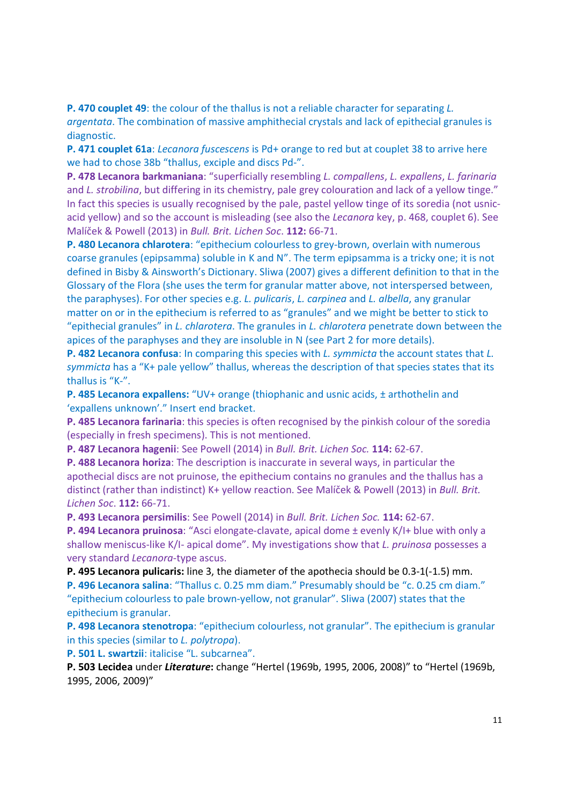P. 470 couplet 49: the colour of the thallus is not a reliable character for separating L. argentata. The combination of massive amphithecial crystals and lack of epithecial granules is diagnostic.

P. 471 couplet 61a: Lecanora fuscescens is Pd+ orange to red but at couplet 38 to arrive here we had to chose 38b "thallus, exciple and discs Pd-".

P. 478 Lecanora barkmaniana: "superficially resembling L. compallens, L. expallens, L. farinaria and *L. strobilina*, but differing in its chemistry, pale grey colouration and lack of a yellow tinge." In fact this species is usually recognised by the pale, pastel yellow tinge of its soredia (not usnicacid yellow) and so the account is misleading (see also the Lecanora key, p. 468, couplet 6). See Malíček & Powell (2013) in Bull. Brit. Lichen Soc. 112: 66-71.

P. 480 Lecanora chlarotera: "epithecium colourless to grey-brown, overlain with numerous coarse granules (epipsamma) soluble in K and N". The term epipsamma is a tricky one; it is not defined in Bisby & Ainsworth's Dictionary. Sliwa (2007) gives a different definition to that in the Glossary of the Flora (she uses the term for granular matter above, not interspersed between, the paraphyses). For other species e.g. L. pulicaris, L. carpinea and L. albella, any granular matter on or in the epithecium is referred to as "granules" and we might be better to stick to "epithecial granules" in L. chlarotera. The granules in L. chlarotera penetrate down between the apices of the paraphyses and they are insoluble in N (see Part 2 for more details).

**P. 482 Lecanora confusa:** In comparing this species with L. symmicta the account states that L. symmicta has a "K+ pale yellow" thallus, whereas the description of that species states that its thallus is "K-".

P. 485 Lecanora expallens: "UV+ orange (thiophanic and usnic acids, ± arthothelin and 'expallens unknown'." Insert end bracket.

P. 485 Lecanora farinaria: this species is often recognised by the pinkish colour of the soredia (especially in fresh specimens). This is not mentioned.

P. 487 Lecanora hagenii: See Powell (2014) in Bull. Brit. Lichen Soc. 114: 62-67.

P. 488 Lecanora horiza: The description is inaccurate in several ways, in particular the apothecial discs are not pruinose, the epithecium contains no granules and the thallus has a distinct (rather than indistinct) K+ yellow reaction. See Malíček & Powell (2013) in Bull. Brit. Lichen Soc. 112: 66-71.

P. 493 Lecanora persimilis: See Powell (2014) in Bull. Brit. Lichen Soc. 114: 62-67.

P. 494 Lecanora pruinosa: "Asci elongate-clavate, apical dome ± evenly K/I+ blue with only a shallow meniscus-like K/I- apical dome". My investigations show that L. pruinosa possesses a very standard Lecanora-type ascus.

P. 495 Lecanora pulicaris: line 3, the diameter of the apothecia should be 0.3-1(-1.5) mm. P. 496 Lecanora salina: "Thallus c. 0.25 mm diam." Presumably should be "c. 0.25 cm diam." "epithecium colourless to pale brown-yellow, not granular". Sliwa (2007) states that the epithecium is granular.

P. 498 Lecanora stenotropa: "epithecium colourless, not granular". The epithecium is granular in this species (similar to L. polytropa).

P. 501 L. swartzii: italicise "L. subcarnea".

P. 503 Lecidea under Literature: change "Hertel (1969b, 1995, 2006, 2008)" to "Hertel (1969b, 1995, 2006, 2009)"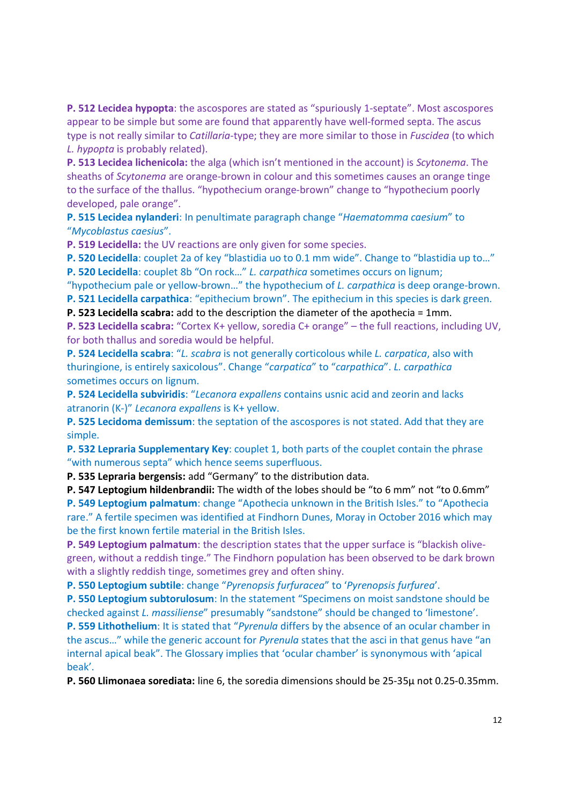P. 512 Lecidea hypopta: the ascospores are stated as "spuriously 1-septate". Most ascospores appear to be simple but some are found that apparently have well-formed septa. The ascus type is not really similar to *Catillaria-type*; they are more similar to those in *Fuscidea* (to which L. hypopta is probably related).

P. 513 Lecidea lichenicola: the alga (which isn't mentioned in the account) is Scytonema. The sheaths of Scytonema are orange-brown in colour and this sometimes causes an orange tinge to the surface of the thallus. "hypothecium orange-brown" change to "hypothecium poorly developed, pale orange".

P. 515 Lecidea nylanderi: In penultimate paragraph change "Haematomma caesium" to "Mycoblastus caesius".

P. 519 Lecidella: the UV reactions are only given for some species.

P. 520 Lecidella: couplet 2a of key "blastidia uo to 0.1 mm wide". Change to "blastidia up to…" P. 520 Lecidella: couplet 8b "On rock…" L. carpathica sometimes occurs on lignum;

"hypothecium pale or yellow-brown…" the hypothecium of L. carpathica is deep orange-brown. P. 521 Lecidella carpathica: "epithecium brown". The epithecium in this species is dark green.

P. 523 Lecidella scabra: add to the description the diameter of the apothecia = 1mm.

P. 523 Lecidella scabra: "Cortex K+ yellow, soredia C+ orange" – the full reactions, including UV, for both thallus and soredia would be helpful.

P. 524 Lecidella scabra: "L. scabra is not generally corticolous while L. carpatica, also with thuringione, is entirely saxicolous". Change "carpatica" to "carpathica". L. carpathica sometimes occurs on lignum.

P. 524 Lecidella subviridis: "Lecanora expallens contains usnic acid and zeorin and lacks atranorin (K-)" Lecanora expallens is K+ yellow.

P. 525 Lecidoma demissum: the septation of the ascospores is not stated. Add that they are simple.

P. 532 Lepraria Supplementary Key: couplet 1, both parts of the couplet contain the phrase "with numerous septa" which hence seems superfluous.

P. 535 Lepraria bergensis: add "Germany" to the distribution data.

P. 547 Leptogium hildenbrandii: The width of the lobes should be "to 6 mm" not "to 0.6mm" P. 549 Leptogium palmatum: change "Apothecia unknown in the British Isles." to "Apothecia rare." A fertile specimen was identified at Findhorn Dunes, Moray in October 2016 which may be the first known fertile material in the British Isles.

P. 549 Leptogium palmatum: the description states that the upper surface is "blackish olivegreen, without a reddish tinge." The Findhorn population has been observed to be dark brown with a slightly reddish tinge, sometimes grey and often shiny.

P. 550 Leptogium subtile: change "Pyrenopsis furfuracea" to 'Pyrenopsis furfurea'.

P. 550 Leptogium subtorulosum: In the statement "Specimens on moist sandstone should be checked against L. massiliense" presumably "sandstone" should be changed to 'limestone'.

P. 559 Lithothelium: It is stated that "Pyrenula differs by the absence of an ocular chamber in the ascus..." while the generic account for *Pyrenula* states that the asci in that genus have "an internal apical beak". The Glossary implies that 'ocular chamber' is synonymous with 'apical beak'.

P. 560 Llimonaea sorediata: line 6, the soredia dimensions should be 25-35µ not 0.25-0.35mm.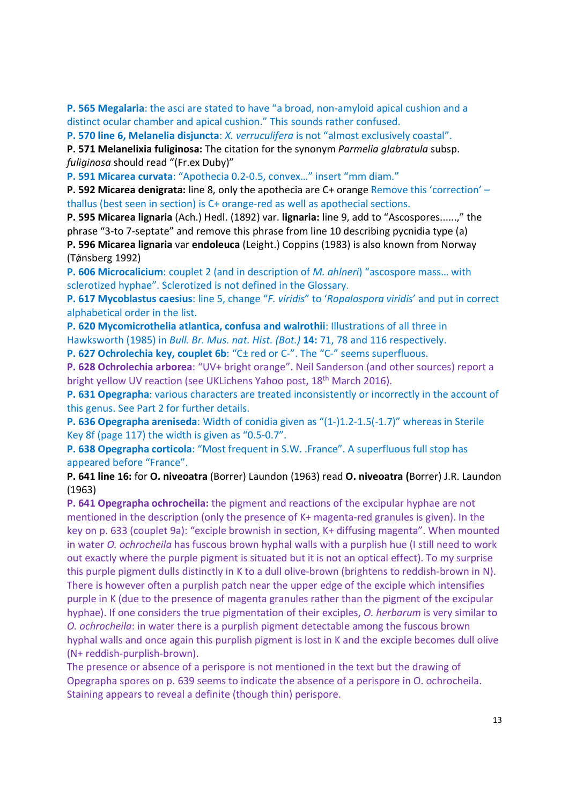P. 565 Megalaria: the asci are stated to have "a broad, non-amyloid apical cushion and a distinct ocular chamber and apical cushion." This sounds rather confused.

P. 570 line 6, Melanelia disjuncta: X. verruculifera is not "almost exclusively coastal".

P. 571 Melanelixia fuliginosa: The citation for the synonym Parmelia glabratula subsp. fuliginosa should read "(Fr.ex Duby)"

P. 591 Micarea curvata: "Apothecia 0.2-0.5, convex…" insert "mm diam."

P. 592 Micarea denigrata: line 8, only the apothecia are C+ orange Remove this 'correction' – thallus (best seen in section) is C+ orange-red as well as apothecial sections.

P. 595 Micarea lignaria (Ach.) Hedl. (1892) var. lignaria: line 9, add to "Ascospores......," the phrase "3-to 7-septate" and remove this phrase from line 10 describing pycnidia type (a) P. 596 Micarea lignaria var endoleuca (Leight.) Coppins (1983) is also known from Norway (Tǿnsberg 1992)

P. 606 Microcalicium: couplet 2 (and in description of M. ahlneri) "ascospore mass… with sclerotized hyphae". Sclerotized is not defined in the Glossary.

P. 617 Mycoblastus caesius: line 5, change "F. viridis" to 'Ropalospora viridis' and put in correct alphabetical order in the list.

P. 620 Mycomicrothelia atlantica, confusa and walrothii: Illustrations of all three in Hawksworth (1985) in Bull. Br. Mus. nat. Hist. (Bot.) 14: 71, 78 and 116 respectively.

P. 627 Ochrolechia key, couplet 6b: "C± red or C-". The "C-" seems superfluous.

P. 628 Ochrolechia arborea: "UV+ bright orange". Neil Sanderson (and other sources) report a bright yellow UV reaction (see UKLichens Yahoo post, 18<sup>th</sup> March 2016).

P. 631 Opegrapha: various characters are treated inconsistently or incorrectly in the account of this genus. See Part 2 for further details.

P. 636 Opegrapha areniseda: Width of conidia given as "(1-)1.2-1.5(-1.7)" whereas in Sterile Key 8f (page 117) the width is given as "0.5-0.7".

P. 638 Opegrapha corticola: "Most frequent in S.W. .France". A superfluous full stop has appeared before "France".

P. 641 line 16: for O. niveoatra (Borrer) Laundon (1963) read O. niveoatra (Borrer) J.R. Laundon (1963)

P. 641 Opegrapha ochrocheila: the pigment and reactions of the excipular hyphae are not mentioned in the description (only the presence of K+ magenta-red granules is given). In the key on p. 633 (couplet 9a): "exciple brownish in section, K+ diffusing magenta". When mounted in water O. ochrocheila has fuscous brown hyphal walls with a purplish hue (I still need to work out exactly where the purple pigment is situated but it is not an optical effect). To my surprise this purple pigment dulls distinctly in K to a dull olive-brown (brightens to reddish-brown in N). There is however often a purplish patch near the upper edge of the exciple which intensifies purple in K (due to the presence of magenta granules rather than the pigment of the excipular hyphae). If one considers the true pigmentation of their exciples, O. herbarum is very similar to O. ochrocheila: in water there is a purplish pigment detectable among the fuscous brown hyphal walls and once again this purplish pigment is lost in K and the exciple becomes dull olive (N+ reddish-purplish-brown).

The presence or absence of a perispore is not mentioned in the text but the drawing of Opegrapha spores on p. 639 seems to indicate the absence of a perispore in O. ochrocheila. Staining appears to reveal a definite (though thin) perispore.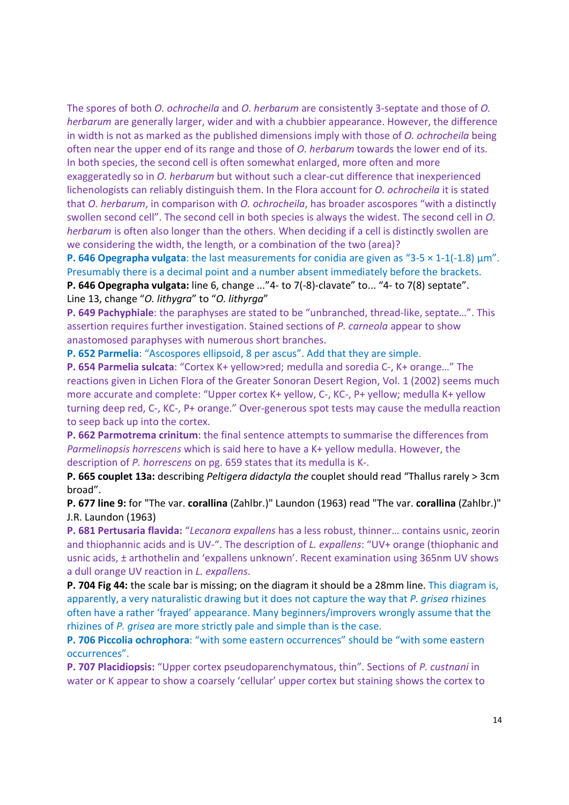The spores of both O. ochrocheila and O. herbarum are consistently 3-septate and those of O. herbarum are generally larger, wider and with a chubbier appearance. However, the difference in width is not as marked as the published dimensions imply with those of *O. ochrocheila* being often near the upper end of its range and those of O. herbarum towards the lower end of its. In both species, the second cell is often somewhat enlarged, more often and more exaggeratedly so in O. herbarum but without such a clear-cut difference that inexperienced lichenologists can reliably distinguish them. In the Flora account for O. ochrocheila it is stated that *O. herbarum*, in comparison with *O. ochrocheila*, has broader ascospores "with a distinctly swollen second cell". The second cell in both species is always the widest. The second cell in O. herbarum is often also longer than the others. When deciding if a cell is distinctly swollen are we considering the width, the length, or a combination of the two (area)?

**P. 646 Opegrapha vulgata:** the last measurements for conidia are given as "3-5  $\times$  1-1(-1.8)  $\mu$ m". Presumably there is a decimal point and a number absent immediately before the brackets. P. 646 Opegrapha vulgata: line 6, change ..."4- to 7(-8)-clavate" to... "4- to 7(8) septate".

Line 13, change "O. lithygra" to "O. lithyrga"

P. 649 Pachyphiale: the paraphyses are stated to be "unbranched, thread-like, septate…". This assertion requires further investigation. Stained sections of P. carneola appear to show anastomosed paraphyses with numerous short branches.

P. 652 Parmelia: "Ascospores ellipsoid, 8 per ascus". Add that they are simple.

P. 654 Parmelia sulcata: "Cortex K+ yellow>red; medulla and soredia C-, K+ orange…" The reactions given in Lichen Flora of the Greater Sonoran Desert Region, Vol. 1 (2002) seems much more accurate and complete: "Upper cortex K+ yellow, C-, KC-, P+ yellow; medulla K+ yellow turning deep red, C-, KC-, P+ orange." Over-generous spot tests may cause the medulla reaction to seep back up into the cortex.

P. 662 Parmotrema crinitum: the final sentence attempts to summarise the differences from Parmelinopsis horrescens which is said here to have a K+ yellow medulla. However, the description of P. horrescens on pg. 659 states that its medulla is K-.

P. 665 couplet 13a: describing Peltigera didactyla the couplet should read "Thallus rarely > 3cm broad".

P. 677 line 9: for "The var. corallina (Zahlbr.)" Laundon (1963) read "The var. corallina (Zahlbr.)" J.R. Laundon (1963)

P. 681 Pertusaria flavida: "Lecanora expallens has a less robust, thinner… contains usnic, zeorin and thiophannic acids and is UV-". The description of L. expallens: "UV+ orange (thiophanic and usnic acids, ± arthothelin and 'expallens unknown'. Recent examination using 365nm UV shows a dull orange UV reaction in L. expallens.

**P. 704 Fig 44:** the scale bar is missing; on the diagram it should be a 28mm line. This diagram is, apparently, a very naturalistic drawing but it does not capture the way that P. grisea rhizines often have a rather 'frayed' appearance. Many beginners/improvers wrongly assume that the rhizines of P. grisea are more strictly pale and simple than is the case.

P. 706 Piccolia ochrophora: "with some eastern occurrences" should be "with some eastern occurrences".

P. 707 Placidiopsis: "Upper cortex pseudoparenchymatous, thin". Sections of P. custnani in water or K appear to show a coarsely 'cellular' upper cortex but staining shows the cortex to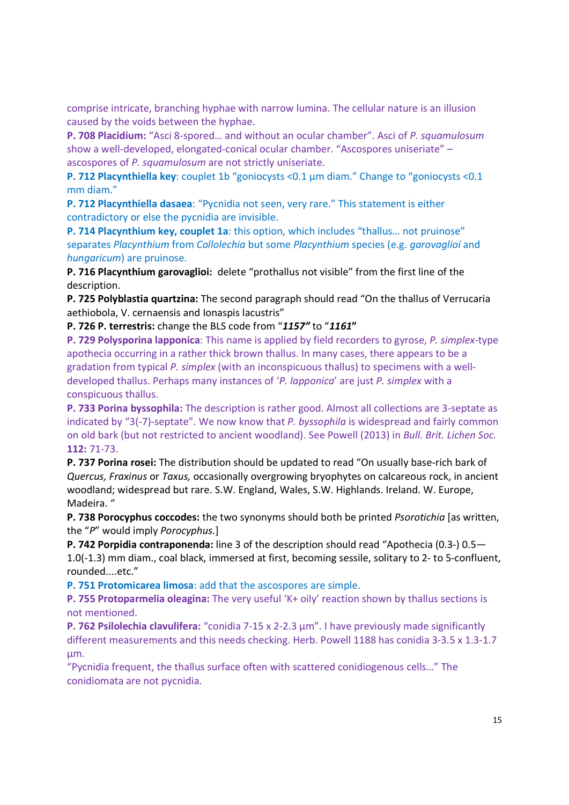comprise intricate, branching hyphae with narrow lumina. The cellular nature is an illusion caused by the voids between the hyphae.

P. 708 Placidium: "Asci 8-spored… and without an ocular chamber". Asci of P. squamulosum show a well-developed, elongated-conical ocular chamber. "Ascospores uniseriate" – ascospores of P. squamulosum are not strictly uniseriate.

P. 712 Placynthiella key: couplet 1b "goniocysts <0.1 µm diam." Change to "goniocysts <0.1 mm diam."

P. 712 Placynthiella dasaea: "Pycnidia not seen, very rare." This statement is either contradictory or else the pycnidia are invisible.

P. 714 Placynthium key, couplet 1a: this option, which includes "thallus... not pruinose" separates Placynthium from Collolechia but some Placynthium species (e.g. garovaglioi and hungaricum) are pruinose.

P. 716 Placynthium garovaglioi: delete "prothallus not visible" from the first line of the description.

P. 725 Polyblastia quartzina: The second paragraph should read "On the thallus of Verrucaria aethiobola, V. cernaensis and Ionaspis lacustris"

P. 726 P. terrestris: change the BLS code from "1157" to "1161"

P. 729 Polysporina lapponica: This name is applied by field recorders to gyrose, P. simplex-type apothecia occurring in a rather thick brown thallus. In many cases, there appears to be a gradation from typical P. simplex (with an inconspicuous thallus) to specimens with a welldeveloped thallus. Perhaps many instances of 'P. lapponica' are just P. simplex with a conspicuous thallus.

P. 733 Porina byssophila: The description is rather good. Almost all collections are 3-septate as indicated by  $(3(-7))$ -septate". We now know that P. byssophila is widespread and fairly common on old bark (but not restricted to ancient woodland). See Powell (2013) in Bull. Brit. Lichen Soc. 112: 71-73.

P. 737 Porina rosei: The distribution should be updated to read "On usually base-rich bark of Quercus, Fraxinus or Taxus, occasionally overgrowing bryophytes on calcareous rock, in ancient woodland; widespread but rare. S.W. England, Wales, S.W. Highlands. Ireland. W. Europe, Madeira. "

P. 738 Porocyphus coccodes: the two synonyms should both be printed Psorotichia [as written, the "P" would imply Porocyphus.]

P. 742 Porpidia contraponenda: line 3 of the description should read "Apothecia (0.3-) 0.5— 1.0(-1.3) mm diam., coal black, immersed at first, becoming sessile, solitary to 2- to 5-confluent, rounded....etc."

P. 751 Protomicarea limosa: add that the ascospores are simple.

P. 755 Protoparmelia oleagina: The very useful 'K+ oily' reaction shown by thallus sections is not mentioned.

P. 762 Psilolechia clavulifera: "conidia 7-15 x 2-2.3  $\mu$ m". I have previously made significantly different measurements and this needs checking. Herb. Powell 1188 has conidia 3-3.5 x 1.3-1.7 µm.

"Pycnidia frequent, the thallus surface often with scattered conidiogenous cells…" The conidiomata are not pycnidia.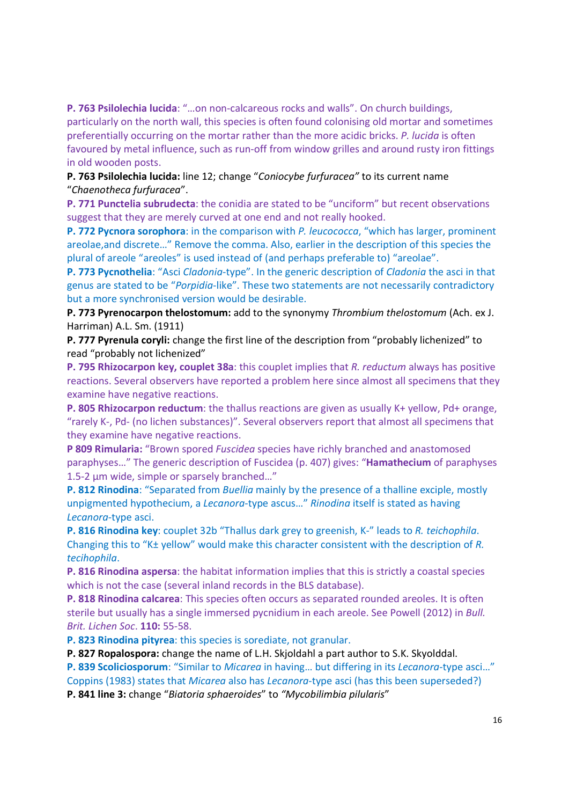P. 763 Psilolechia lucida: "…on non-calcareous rocks and walls". On church buildings, particularly on the north wall, this species is often found colonising old mortar and sometimes preferentially occurring on the mortar rather than the more acidic bricks. P. lucida is often favoured by metal influence, such as run-off from window grilles and around rusty iron fittings in old wooden posts.

# P. 763 Psilolechia lucida: line 12; change "Coniocybe furfuracea" to its current name "Chaenotheca furfuracea".

P. 771 Punctelia subrudecta: the conidia are stated to be "unciform" but recent observations suggest that they are merely curved at one end and not really hooked.

P. 772 Pycnora sorophora: in the comparison with P. leucococca, "which has larger, prominent areolae,and discrete…" Remove the comma. Also, earlier in the description of this species the plural of areole "areoles" is used instead of (and perhaps preferable to) "areolae".

P. 773 Pycnothelia: "Asci Cladonia-type". In the generic description of Cladonia the asci in that genus are stated to be "Porpidia-like". These two statements are not necessarily contradictory but a more synchronised version would be desirable.

P. 773 Pyrenocarpon thelostomum: add to the synonymy Thrombium thelostomum (Ach. ex J. Harriman) A.L. Sm. (1911)

P. 777 Pyrenula coryli: change the first line of the description from "probably lichenized" to read "probably not lichenized"

P. 795 Rhizocarpon key, couplet 38a: this couplet implies that R. reductum always has positive reactions. Several observers have reported a problem here since almost all specimens that they examine have negative reactions.

P. 805 Rhizocarpon reductum: the thallus reactions are given as usually K+ yellow, Pd+ orange, "rarely K-, Pd- (no lichen substances)". Several observers report that almost all specimens that they examine have negative reactions.

P 809 Rimularia: "Brown spored Fuscidea species have richly branched and anastomosed paraphyses…" The generic description of Fuscidea (p. 407) gives: "Hamathecium of paraphyses 1.5-2 µm wide, simple or sparsely branched..."

P. 812 Rinodina: "Separated from Buellia mainly by the presence of a thalline exciple, mostly unpigmented hypothecium, a Lecanora-type ascus…" Rinodina itself is stated as having Lecanora-type asci.

P. 816 Rinodina key: couplet 32b "Thallus dark grey to greenish, K-" leads to R. teichophila. Changing this to "K± yellow" would make this character consistent with the description of R. tecihophila.

P. 816 Rinodina aspersa: the habitat information implies that this is strictly a coastal species which is not the case (several inland records in the BLS database).

P. 818 Rinodina calcarea: This species often occurs as separated rounded areoles. It is often sterile but usually has a single immersed pycnidium in each areole. See Powell (2012) in Bull. Brit. Lichen Soc. 110: 55-58.

P. 823 Rinodina pityrea: this species is sorediate, not granular.

P. 827 Ropalospora: change the name of L.H. Skjoldahl a part author to S.K. Skyolddal.

P. 839 Scoliciosporum: "Similar to Micarea in having... but differing in its Lecanora-type asci..." Coppins (1983) states that Micarea also has Lecanora-type asci (has this been superseded?)

P. 841 line 3: change "Biatoria sphaeroides" to "Mycobilimbia pilularis"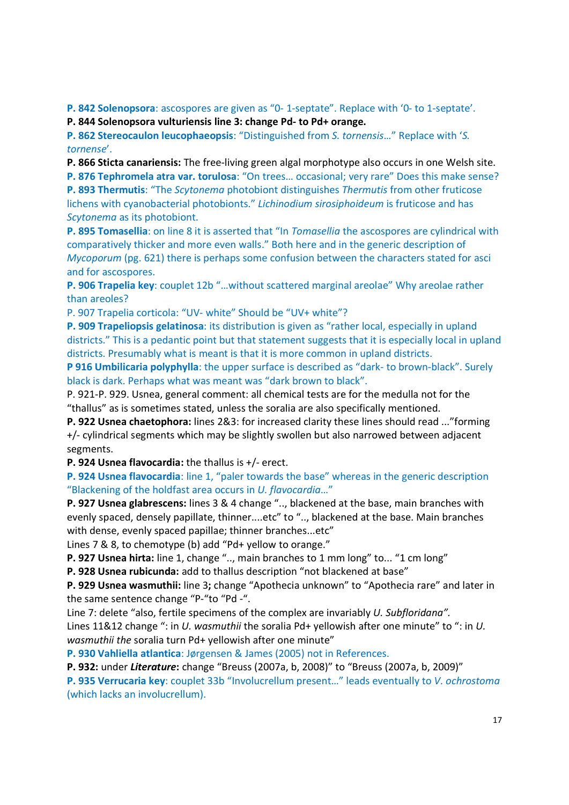P. 842 Solenopsora: ascospores are given as "0- 1-septate". Replace with '0- to 1-septate'.

P. 844 Solenopsora vulturiensis line 3: change Pd- to Pd+ orange.

P. 862 Stereocaulon leucophaeopsis: "Distinguished from S. tornensis…" Replace with 'S. tornense'.

P. 866 Sticta canariensis: The free-living green algal morphotype also occurs in one Welsh site.

P. 876 Tephromela atra var. torulosa: "On trees… occasional; very rare" Does this make sense? P. 893 Thermutis: "The Scytonema photobiont distinguishes Thermutis from other fruticose lichens with cyanobacterial photobionts." Lichinodium sirosiphoideum is fruticose and has Scytonema as its photobiont.

P. 895 Tomasellia: on line 8 it is asserted that "In *Tomasellia* the ascospores are cylindrical with comparatively thicker and more even walls." Both here and in the generic description of Mycoporum (pg. 621) there is perhaps some confusion between the characters stated for asci and for ascospores.

P. 906 Trapelia key: couplet 12b "…without scattered marginal areolae" Why areolae rather than areoles?

P. 907 Trapelia corticola: "UV- white" Should be "UV+ white"?

P. 909 Trapeliopsis gelatinosa: its distribution is given as "rather local, especially in upland districts." This is a pedantic point but that statement suggests that it is especially local in upland districts. Presumably what is meant is that it is more common in upland districts.

P 916 Umbilicaria polyphylla: the upper surface is described as "dark- to brown-black". Surely black is dark. Perhaps what was meant was "dark brown to black".

P. 921-P. 929. Usnea, general comment: all chemical tests are for the medulla not for the "thallus" as is sometimes stated, unless the soralia are also specifically mentioned.

P. 922 Usnea chaetophora: lines 2&3: for increased clarity these lines should read ..."forming +/- cylindrical segments which may be slightly swollen but also narrowed between adjacent segments.

P. 924 Usnea flavocardia: the thallus is +/- erect.

P. 924 Usnea flavocardia: line 1, "paler towards the base" whereas in the generic description "Blackening of the holdfast area occurs in U. flavocardia…"

P. 927 Usnea glabrescens: lines 3 & 4 change ".., blackened at the base, main branches with evenly spaced, densely papillate, thinner....etc" to ".., blackened at the base. Main branches with dense, evenly spaced papillae; thinner branches...etc"

Lines 7 & 8, to chemotype (b) add "Pd+ yellow to orange."

P. 927 Usnea hirta: line 1, change ".., main branches to 1 mm long" to... "1 cm long"

P. 928 Usnea rubicunda: add to thallus description "not blackened at base"

P. 929 Usnea wasmuthii: line 3; change "Apothecia unknown" to "Apothecia rare" and later in the same sentence change "P-"to "Pd -".

Line 7: delete "also, fertile specimens of the complex are invariably U. Subfloridana".

Lines 11&12 change ": in U. wasmuthii the soralia Pd+ yellowish after one minute" to ": in U. wasmuthii the soralia turn Pd+ yellowish after one minute"

P. 930 Vahliella atlantica: Jørgensen & James (2005) not in References.

P. 932: under Literature: change "Breuss (2007a, b, 2008)" to "Breuss (2007a, b, 2009)"

P. 935 Verrucaria key: couplet 33b "Involucrellum present..." leads eventually to V. ochrostoma (which lacks an involucrellum).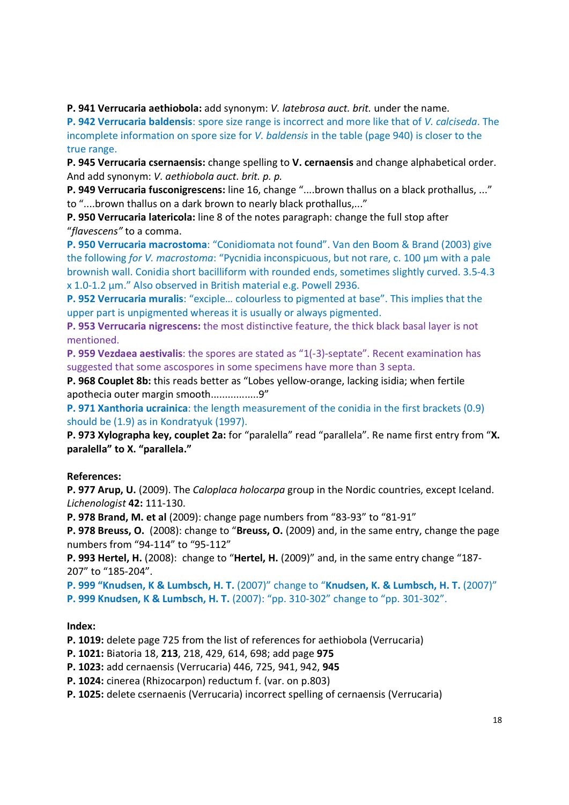P. 941 Verrucaria aethiobola: add synonym: V. latebrosa auct. brit. under the name.

P. 942 Verrucaria baldensis: spore size range is incorrect and more like that of V. calciseda. The incomplete information on spore size for V. baldensis in the table (page 940) is closer to the true range.

P. 945 Verrucaria csernaensis: change spelling to V. cernaensis and change alphabetical order. And add synonym: V. aethiobola auct. brit. p. p.

P. 949 Verrucaria fusconigrescens: line 16, change "....brown thallus on a black prothallus, ..." to "....brown thallus on a dark brown to nearly black prothallus,..."

P. 950 Verrucaria latericola: line 8 of the notes paragraph: change the full stop after "flavescens" to a comma.

P. 950 Verrucaria macrostoma: "Conidiomata not found". Van den Boom & Brand (2003) give the following for V. macrostoma: "Pycnidia inconspicuous, but not rare, c. 100 µm with a pale brownish wall. Conidia short bacilliform with rounded ends, sometimes slightly curved. 3.5-4.3 x 1.0-1.2 µm." Also observed in British material e.g. Powell 2936.

P. 952 Verrucaria muralis: "exciple… colourless to pigmented at base". This implies that the upper part is unpigmented whereas it is usually or always pigmented.

P. 953 Verrucaria nigrescens: the most distinctive feature, the thick black basal layer is not mentioned.

P. 959 Vezdaea aestivalis: the spores are stated as "1(-3)-septate". Recent examination has suggested that some ascospores in some specimens have more than 3 septa.

P. 968 Couplet 8b: this reads better as "Lobes yellow-orange, lacking isidia; when fertile apothecia outer margin smooth.................9"

P. 971 Xanthoria ucrainica: the length measurement of the conidia in the first brackets (0.9) should be (1.9) as in Kondratyuk (1997).

P. 973 Xylographa key, couplet 2a: for "paralella" read "parallela". Re name first entry from "X. paralella" to X. "parallela."

# References:

P. 977 Arup, U. (2009). The *Caloplaca holocarpa* group in the Nordic countries, except Iceland. Lichenologist 42: 111-130.

P. 978 Brand, M. et al (2009): change page numbers from "83-93" to "81-91"

**P. 978 Breuss, O.** (2008): change to "Breuss, O. (2009) and, in the same entry, change the page numbers from "94-114" to "95-112"

P. 993 Hertel, H. (2008): change to "Hertel, H. (2009)" and, in the same entry change "187-207" to "185-204".

P. 999 "Knudsen, K & Lumbsch, H. T. (2007)" change to "Knudsen, K. & Lumbsch, H. T. (2007)" P. 999 Knudsen, K & Lumbsch, H. T. (2007): "pp. 310-302" change to "pp. 301-302".

# Index:

P. 1019: delete page 725 from the list of references for aethiobola (Verrucaria)

P. 1021: Biatoria 18, 213, 218, 429, 614, 698; add page 975

P. 1023: add cernaensis (Verrucaria) 446, 725, 941, 942, 945

P. 1024: cinerea (Rhizocarpon) reductum f. (var. on p.803)

P. 1025: delete csernaenis (Verrucaria) incorrect spelling of cernaensis (Verrucaria)